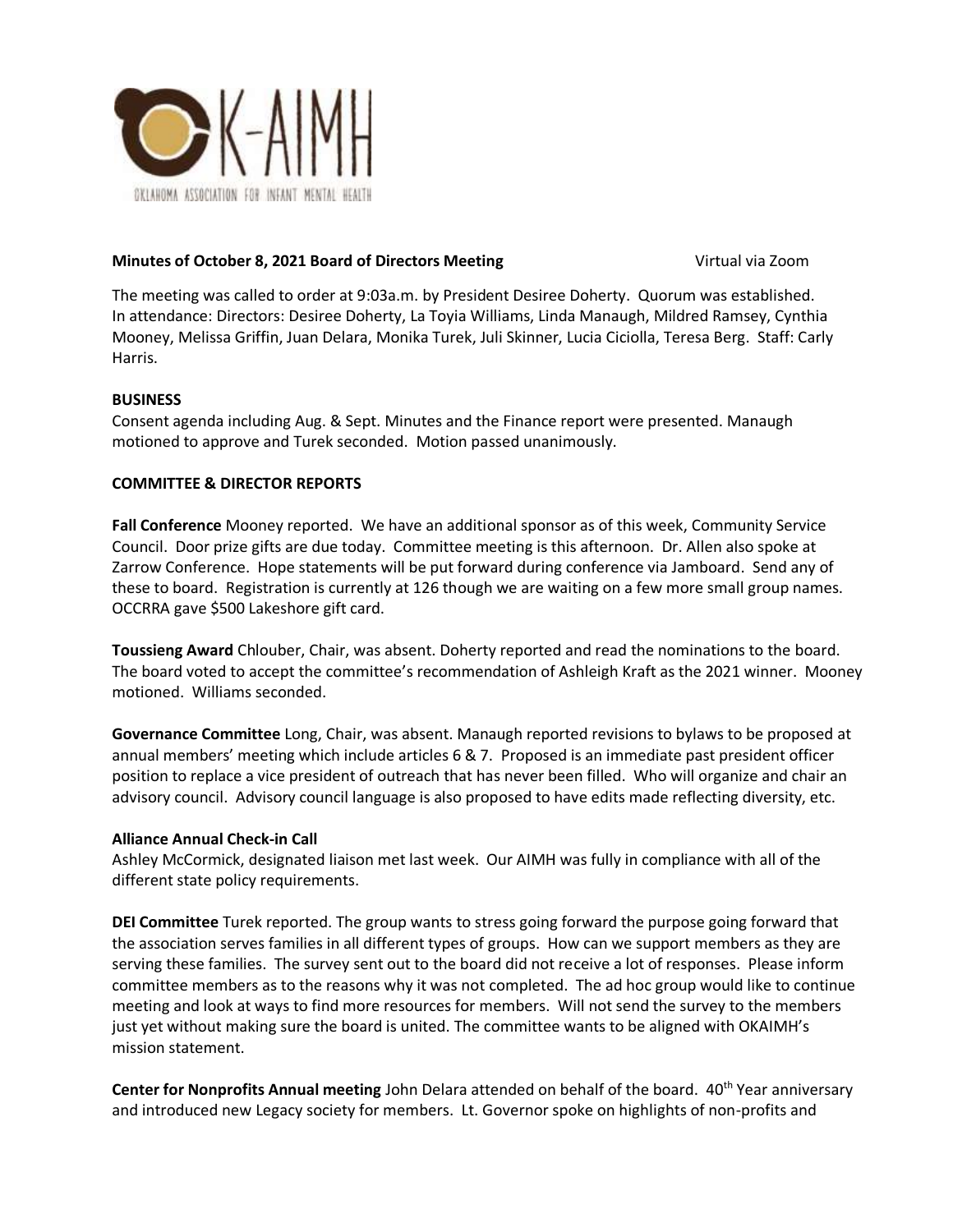

# **Minutes of October 8, 2021 Board of Directors Meeting <b>Virtual Via Zoom** Virtual via Zoom

The meeting was called to order at 9:03a.m. by President Desiree Doherty. Quorum was established. In attendance: Directors: Desiree Doherty, La Toyia Williams, Linda Manaugh, Mildred Ramsey, Cynthia Mooney, Melissa Griffin, Juan Delara, Monika Turek, Juli Skinner, Lucia Ciciolla, Teresa Berg. Staff: Carly Harris.

# **BUSINESS**

Consent agenda including Aug. & Sept. Minutes and the Finance report were presented. Manaugh motioned to approve and Turek seconded. Motion passed unanimously.

# **COMMITTEE & DIRECTOR REPORTS**

**Fall Conference** Mooney reported.We have an additional sponsor as of this week, Community Service Council. Door prize gifts are due today. Committee meeting is this afternoon. Dr. Allen also spoke at Zarrow Conference. Hope statements will be put forward during conference via Jamboard. Send any of these to board. Registration is currently at 126 though we are waiting on a few more small group names. OCCRRA gave \$500 Lakeshore gift card.

**Toussieng Award** Chlouber, Chair, was absent. Doherty reported and read the nominations to the board. The board voted to accept the committee's recommendation of Ashleigh Kraft as the 2021 winner. Mooney motioned. Williams seconded.

**Governance Committee** Long, Chair, was absent. Manaugh reported revisions to bylaws to be proposed at annual members' meeting which include articles 6 & 7. Proposed is an immediate past president officer position to replace a vice president of outreach that has never been filled. Who will organize and chair an advisory council. Advisory council language is also proposed to have edits made reflecting diversity, etc.

# **Alliance Annual Check-in Call**

Ashley McCormick, designated liaison met last week. Our AIMH was fully in compliance with all of the different state policy requirements.

**DEI Committee** Turek reported. The group wants to stress going forward the purpose going forward that the association serves families in all different types of groups. How can we support members as they are serving these families. The survey sent out to the board did not receive a lot of responses. Please inform committee members as to the reasons why it was not completed. The ad hoc group would like to continue meeting and look at ways to find more resources for members. Will not send the survey to the members just yet without making sure the board is united. The committee wants to be aligned with OKAIMH's mission statement.

**Center for Nonprofits Annual meeting** John Delara attended on behalf of the board. 40<sup>th</sup> Year anniversary and introduced new Legacy society for members. Lt. Governor spoke on highlights of non-profits and